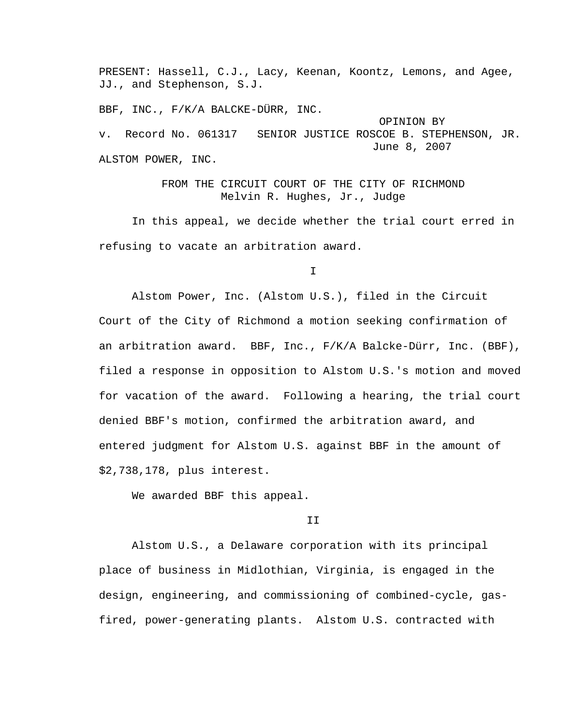PRESENT: Hassell, C.J., Lacy, Keenan, Koontz, Lemons, and Agee, JJ., and Stephenson, S.J.

BBF, INC., F/K/A BALCKE-DÜRR, INC.

 OPINION BY v. Record No. 061317 SENIOR JUSTICE ROSCOE B. STEPHENSON, JR. June 8, 2007 ALSTOM POWER, INC.

> FROM THE CIRCUIT COURT OF THE CITY OF RICHMOND Melvin R. Hughes, Jr., Judge

 In this appeal, we decide whether the trial court erred in refusing to vacate an arbitration award.

I

 Alstom Power, Inc. (Alstom U.S.), filed in the Circuit Court of the City of Richmond a motion seeking confirmation of an arbitration award. BBF, Inc., F/K/A Balcke-Dürr, Inc. (BBF), filed a response in opposition to Alstom U.S.'s motion and moved for vacation of the award. Following a hearing, the trial court denied BBF's motion, confirmed the arbitration award, and entered judgment for Alstom U.S. against BBF in the amount of \$2,738,178, plus interest.

We awarded BBF this appeal.

## II

 Alstom U.S., a Delaware corporation with its principal place of business in Midlothian, Virginia, is engaged in the design, engineering, and commissioning of combined-cycle, gasfired, power-generating plants. Alstom U.S. contracted with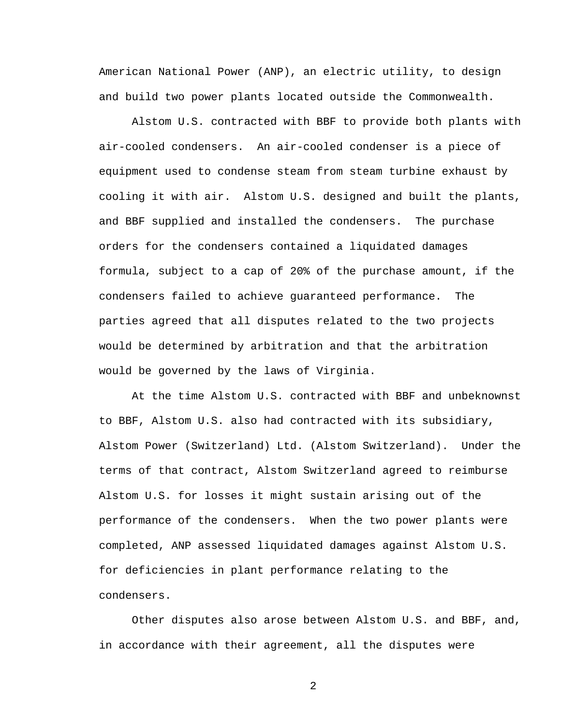American National Power (ANP), an electric utility, to design and build two power plants located outside the Commonwealth.

 Alstom U.S. contracted with BBF to provide both plants with air-cooled condensers. An air-cooled condenser is a piece of equipment used to condense steam from steam turbine exhaust by cooling it with air. Alstom U.S. designed and built the plants, and BBF supplied and installed the condensers. The purchase orders for the condensers contained a liquidated damages formula, subject to a cap of 20% of the purchase amount, if the condensers failed to achieve guaranteed performance. The parties agreed that all disputes related to the two projects would be determined by arbitration and that the arbitration would be governed by the laws of Virginia.

 At the time Alstom U.S. contracted with BBF and unbeknownst to BBF, Alstom U.S. also had contracted with its subsidiary, Alstom Power (Switzerland) Ltd. (Alstom Switzerland). Under the terms of that contract, Alstom Switzerland agreed to reimburse Alstom U.S. for losses it might sustain arising out of the performance of the condensers. When the two power plants were completed, ANP assessed liquidated damages against Alstom U.S. for deficiencies in plant performance relating to the condensers.

 Other disputes also arose between Alstom U.S. and BBF, and, in accordance with their agreement, all the disputes were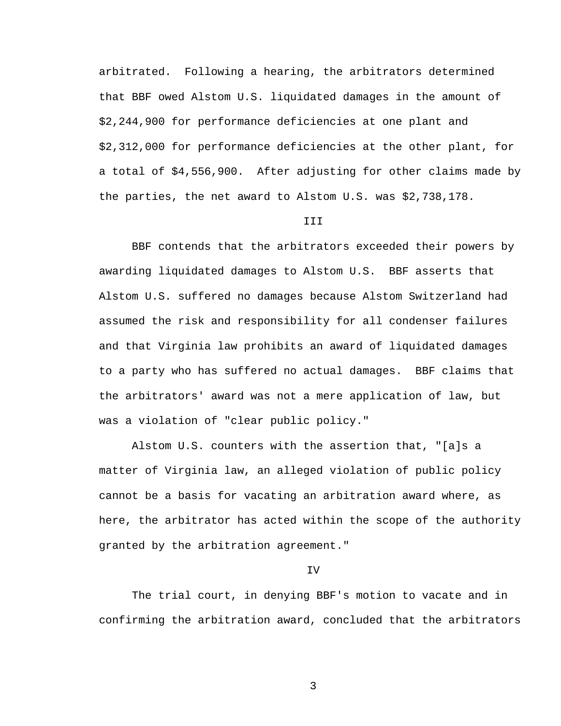arbitrated. Following a hearing, the arbitrators determined that BBF owed Alstom U.S. liquidated damages in the amount of \$2,244,900 for performance deficiencies at one plant and \$2,312,000 for performance deficiencies at the other plant, for a total of \$4,556,900. After adjusting for other claims made by the parties, the net award to Alstom U.S. was \$2,738,178.

## **III**

 BBF contends that the arbitrators exceeded their powers by awarding liquidated damages to Alstom U.S. BBF asserts that Alstom U.S. suffered no damages because Alstom Switzerland had assumed the risk and responsibility for all condenser failures and that Virginia law prohibits an award of liquidated damages to a party who has suffered no actual damages. BBF claims that the arbitrators' award was not a mere application of law, but was a violation of "clear public policy."

 Alstom U.S. counters with the assertion that, "[a]s a matter of Virginia law, an alleged violation of public policy cannot be a basis for vacating an arbitration award where, as here, the arbitrator has acted within the scope of the authority granted by the arbitration agreement."

## IV

 The trial court, in denying BBF's motion to vacate and in confirming the arbitration award, concluded that the arbitrators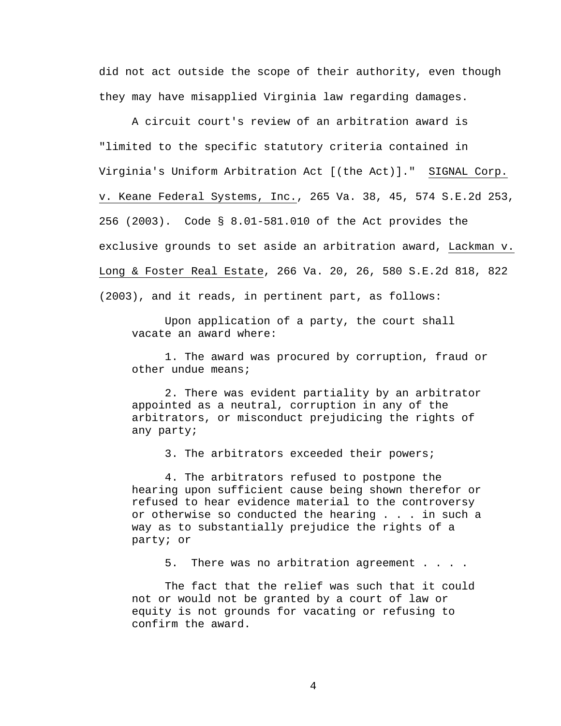did not act outside the scope of their authority, even though they may have misapplied Virginia law regarding damages.

 A circuit court's review of an arbitration award is "limited to the specific statutory criteria contained in Virginia's Uniform Arbitration Act [(the Act)]." SIGNAL Corp. v. Keane Federal Systems, Inc., 265 Va. 38, 45, 574 S.E.2d 253, 256 (2003). Code § 8.01-581.010 of the Act provides the exclusive grounds to set aside an arbitration award, Lackman v. Long & Foster Real Estate, 266 Va. 20, 26, 580 S.E.2d 818, 822 (2003), and it reads, in pertinent part, as follows:

 Upon application of a party, the court shall vacate an award where:

 1. The award was procured by corruption, fraud or other undue means;

 2. There was evident partiality by an arbitrator appointed as a neutral, corruption in any of the arbitrators, or misconduct prejudicing the rights of any party;

3. The arbitrators exceeded their powers;

 4. The arbitrators refused to postpone the hearing upon sufficient cause being shown therefor or refused to hear evidence material to the controversy or otherwise so conducted the hearing . . . in such a way as to substantially prejudice the rights of a party; or

5. There was no arbitration agreement . . . .

 The fact that the relief was such that it could not or would not be granted by a court of law or equity is not grounds for vacating or refusing to confirm the award.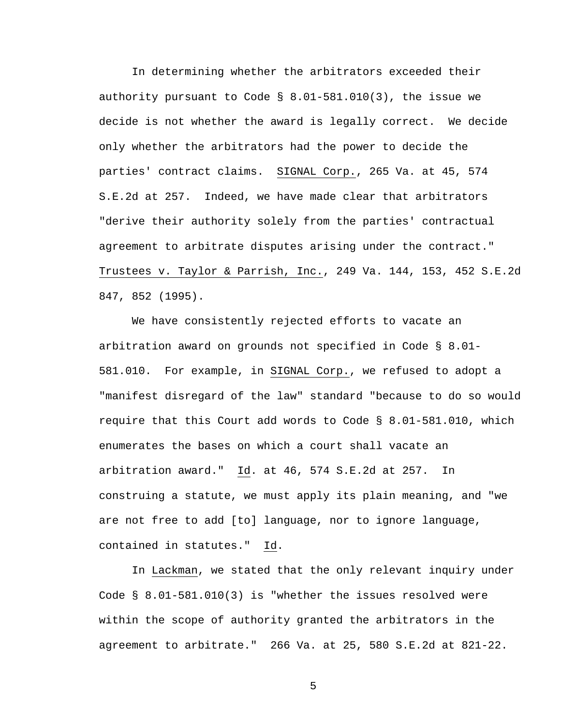In determining whether the arbitrators exceeded their authority pursuant to Code § 8.01-581.010(3), the issue we decide is not whether the award is legally correct. We decide only whether the arbitrators had the power to decide the parties' contract claims. SIGNAL Corp., 265 Va. at 45, 574 S.E.2d at 257. Indeed, we have made clear that arbitrators "derive their authority solely from the parties' contractual agreement to arbitrate disputes arising under the contract." Trustees v. Taylor & Parrish, Inc., 249 Va. 144, 153, 452 S.E.2d 847, 852 (1995).

 We have consistently rejected efforts to vacate an arbitration award on grounds not specified in Code § 8.01- 581.010. For example, in SIGNAL Corp., we refused to adopt a "manifest disregard of the law" standard "because to do so would require that this Court add words to Code § 8.01-581.010, which enumerates the bases on which a court shall vacate an arbitration award." Id. at 46, 574 S.E.2d at 257. In construing a statute, we must apply its plain meaning, and "we are not free to add [to] language, nor to ignore language, contained in statutes." Id.

 In Lackman, we stated that the only relevant inquiry under Code § 8.01-581.010(3) is "whether the issues resolved were within the scope of authority granted the arbitrators in the agreement to arbitrate." 266 Va. at 25, 580 S.E.2d at 821-22.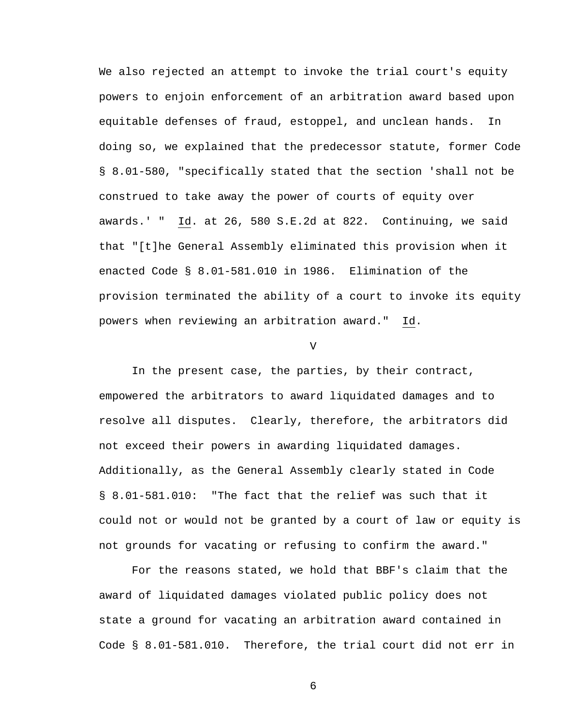We also rejected an attempt to invoke the trial court's equity powers to enjoin enforcement of an arbitration award based upon equitable defenses of fraud, estoppel, and unclean hands. In doing so, we explained that the predecessor statute, former Code § 8.01-580, "specifically stated that the section 'shall not be construed to take away the power of courts of equity over awards.' " Id. at 26, 580 S.E.2d at 822. Continuing, we said that "[t]he General Assembly eliminated this provision when it enacted Code § 8.01-581.010 in 1986. Elimination of the provision terminated the ability of a court to invoke its equity powers when reviewing an arbitration award." Id.

 $V$ 

 In the present case, the parties, by their contract, empowered the arbitrators to award liquidated damages and to resolve all disputes. Clearly, therefore, the arbitrators did not exceed their powers in awarding liquidated damages. Additionally, as the General Assembly clearly stated in Code § 8.01-581.010: "The fact that the relief was such that it could not or would not be granted by a court of law or equity is not grounds for vacating or refusing to confirm the award."

 For the reasons stated, we hold that BBF's claim that the award of liquidated damages violated public policy does not state a ground for vacating an arbitration award contained in Code § 8.01-581.010. Therefore, the trial court did not err in